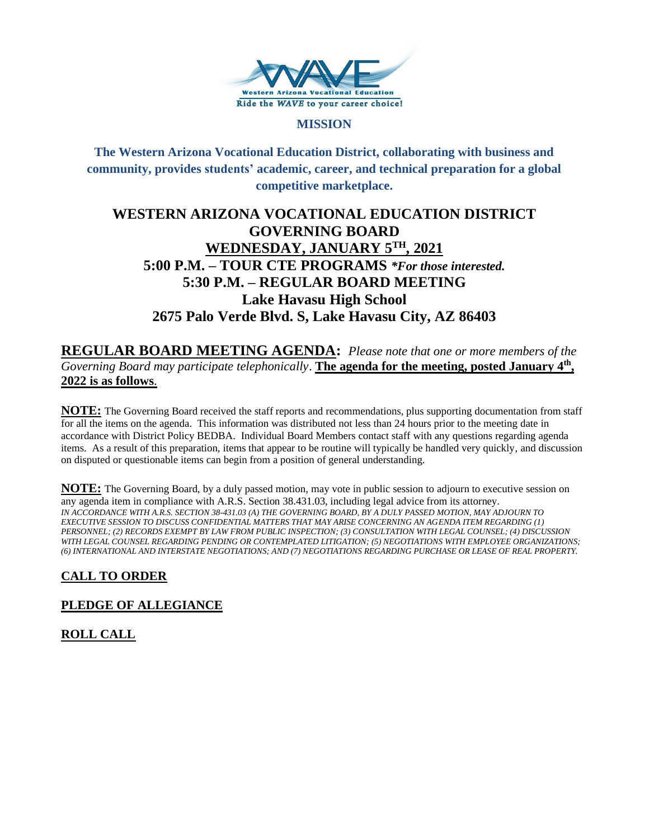

### **MISSION**

**The Western Arizona Vocational Education District, collaborating with business and community, provides students' academic, career, and technical preparation for a global competitive marketplace.**

# **WESTERN ARIZONA VOCATIONAL EDUCATION DISTRICT GOVERNING BOARD WEDNESDAY, JANUARY 5TH , 2021 5:00 P.M. – TOUR CTE PROGRAMS** *\*For those interested.*  **5:30 P.M. – REGULAR BOARD MEETING Lake Havasu High School 2675 Palo Verde Blvd. S, Lake Havasu City, AZ 86403**

**REGULAR BOARD MEETING AGENDA:** *Please note that one or more members of the Governing Board may participate telephonically*. **The agenda for the meeting, posted January 4th , 2022 is as follows**.

**NOTE:** The Governing Board received the staff reports and recommendations, plus supporting documentation from staff for all the items on the agenda. This information was distributed not less than 24 hours prior to the meeting date in accordance with District Policy BEDBA. Individual Board Members contact staff with any questions regarding agenda items. As a result of this preparation, items that appear to be routine will typically be handled very quickly, and discussion on disputed or questionable items can begin from a position of general understanding.

**NOTE:** The Governing Board, by a duly passed motion, may vote in public session to adjourn to executive session on any agenda item in compliance with A.R.S. Section 38.431.03, including legal advice from its attorney. *IN ACCORDANCE WITH A.R.S. SECTION 38-431.03 (A) THE GOVERNING BOARD, BY A DULY PASSED MOTION, MAY ADJOURN TO EXECUTIVE SESSION TO DISCUSS CONFIDENTIAL MATTERS THAT MAY ARISE CONCERNING AN AGENDA ITEM REGARDING (1) PERSONNEL; (2) RECORDS EXEMPT BY LAW FROM PUBLIC INSPECTION; (3) CONSULTATION WITH LEGAL COUNSEL; (4) DISCUSSION WITH LEGAL COUNSEL REGARDING PENDING OR CONTEMPLATED LITIGATION; (5) NEGOTIATIONS WITH EMPLOYEE ORGANIZATIONS; (6) INTERNATIONAL AND INTERSTATE NEGOTIATIONS; AND (7) NEGOTIATIONS REGARDING PURCHASE OR LEASE OF REAL PROPERTY.*

# **CALL TO ORDER**

## **PLEDGE OF ALLEGIANCE**

**ROLL CALL**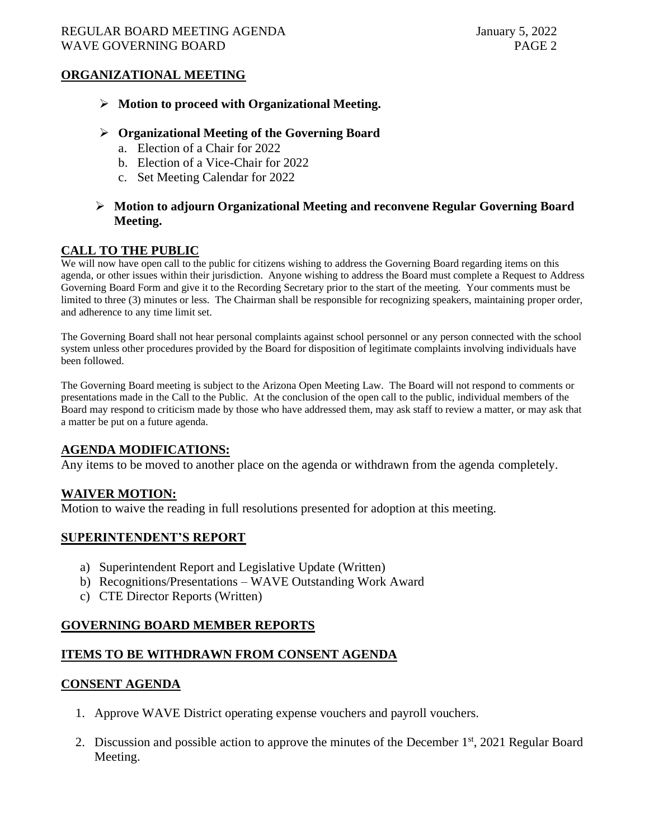## **ORGANIZATIONAL MEETING**

➢ **Motion to proceed with Organizational Meeting.**

### ➢ **Organizational Meeting of the Governing Board**

- a. Election of a Chair for 2022
- b. Election of a Vice-Chair for 2022
- c. Set Meeting Calendar for 2022

### ➢ **Motion to adjourn Organizational Meeting and reconvene Regular Governing Board Meeting.**

### **CALL TO THE PUBLIC**

We will now have open call to the public for citizens wishing to address the Governing Board regarding items on this agenda, or other issues within their jurisdiction. Anyone wishing to address the Board must complete a Request to Address Governing Board Form and give it to the Recording Secretary prior to the start of the meeting. Your comments must be limited to three (3) minutes or less. The Chairman shall be responsible for recognizing speakers, maintaining proper order, and adherence to any time limit set.

The Governing Board shall not hear personal complaints against school personnel or any person connected with the school system unless other procedures provided by the Board for disposition of legitimate complaints involving individuals have been followed.

The Governing Board meeting is subject to the Arizona Open Meeting Law. The Board will not respond to comments or presentations made in the Call to the Public. At the conclusion of the open call to the public, individual members of the Board may respond to criticism made by those who have addressed them, may ask staff to review a matter, or may ask that a matter be put on a future agenda.

### **AGENDA MODIFICATIONS:**

Any items to be moved to another place on the agenda or withdrawn from the agenda completely.

### **WAIVER MOTION:**

Motion to waive the reading in full resolutions presented for adoption at this meeting.

#### **SUPERINTENDENT'S REPORT**

- a) Superintendent Report and Legislative Update (Written)
- b) Recognitions/Presentations WAVE Outstanding Work Award
- c) CTE Director Reports (Written)

### **GOVERNING BOARD MEMBER REPORTS**

### **ITEMS TO BE WITHDRAWN FROM CONSENT AGENDA**

#### **CONSENT AGENDA**

- 1. Approve WAVE District operating expense vouchers and payroll vouchers.
- 2. Discussion and possible action to approve the minutes of the December  $1<sup>st</sup>$ , 2021 Regular Board Meeting.